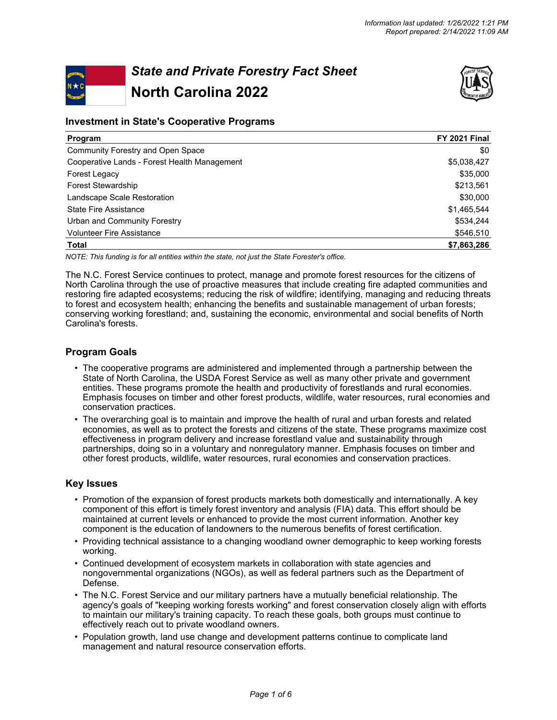# *State and Private Forestry Fact Sheet* **North Carolina 2022**



# **Investment in State's Cooperative Programs**

| Program                                      | <b>FY 2021 Final</b> |
|----------------------------------------------|----------------------|
| Community Forestry and Open Space            | \$0                  |
| Cooperative Lands - Forest Health Management | \$5,038,427          |
| Forest Legacy                                | \$35,000             |
| <b>Forest Stewardship</b>                    | \$213,561            |
| Landscape Scale Restoration                  | \$30,000             |
| <b>State Fire Assistance</b>                 | \$1,465,544          |
| Urban and Community Forestry                 | \$534,244            |
| <b>Volunteer Fire Assistance</b>             | \$546,510            |
| Total                                        | \$7,863,286          |

*NOTE: This funding is for all entities within the state, not just the State Forester's office.*

The N.C. Forest Service continues to protect, manage and promote forest resources for the citizens of North Carolina through the use of proactive measures that include creating fire adapted communities and restoring fire adapted ecosystems; reducing the risk of wildfire; identifying, managing and reducing threats to forest and ecosystem health; enhancing the benefits and sustainable management of urban forests; conserving working forestland; and, sustaining the economic, environmental and social benefits of North Carolina's forests.

# **Program Goals**

- The cooperative programs are administered and implemented through a partnership between the State of North Carolina, the USDA Forest Service as well as many other private and government entities. These programs promote the health and productivity of forestlands and rural economies. Emphasis focuses on timber and other forest products, wildlife, water resources, rural economies and conservation practices.
- The overarching goal is to maintain and improve the health of rural and urban forests and related economies, as well as to protect the forests and citizens of the state. These programs maximize cost effectiveness in program delivery and increase forestland value and sustainability through partnerships, doing so in a voluntary and nonregulatory manner. Emphasis focuses on timber and other forest products, wildlife, water resources, rural economies and conservation practices.

### **Key Issues**

- Promotion of the expansion of forest products markets both domestically and internationally. A key component of this effort is timely forest inventory and analysis (FIA) data. This effort should be maintained at current levels or enhanced to provide the most current information. Another key component is the education of landowners to the numerous benefits of forest certification.
- Providing technical assistance to a changing woodland owner demographic to keep working forests working.
- Continued development of ecosystem markets in collaboration with state agencies and nongovernmental organizations (NGOs), as well as federal partners such as the Department of Defense.
- The N.C. Forest Service and our military partners have a mutually beneficial relationship. The agency's goals of "keeping working forests working" and forest conservation closely align with efforts to maintain our military's training capacity. To reach these goals, both groups must continue to effectively reach out to private woodland owners.
- Population growth, land use change and development patterns continue to complicate land management and natural resource conservation efforts.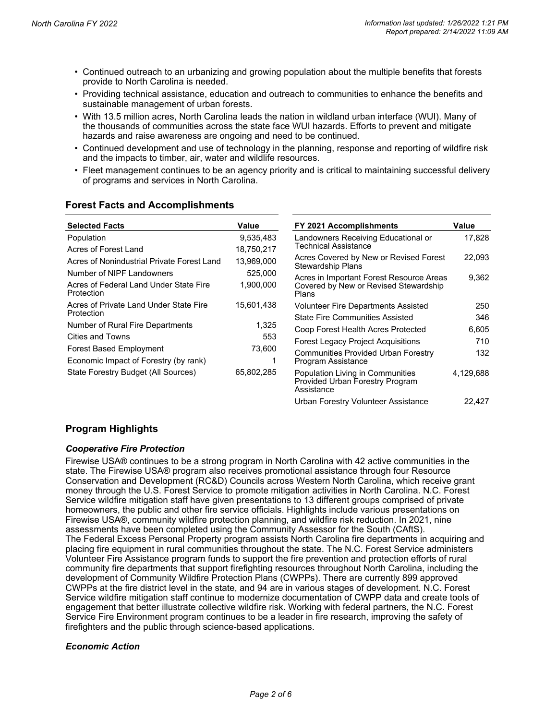- Continued outreach to an urbanizing and growing population about the multiple benefits that forests provide to North Carolina is needed.
- Providing technical assistance, education and outreach to communities to enhance the benefits and sustainable management of urban forests.
- With 13.5 million acres, North Carolina leads the nation in wildland urban interface (WUI). Many of the thousands of communities across the state face WUI hazards. Efforts to prevent and mitigate hazards and raise awareness are ongoing and need to be continued.
- Continued development and use of technology in the planning, response and reporting of wildfire risk and the impacts to timber, air, water and wildlife resources.
- Fleet management continues to be an agency priority and is critical to maintaining successful delivery of programs and services in North Carolina.

# **Forest Facts and Accomplishments**

| <b>Selected Facts</b>                                | Value      | FY 2021 Accomplishments                                                           | Value     |
|------------------------------------------------------|------------|-----------------------------------------------------------------------------------|-----------|
| Population                                           | 9,535,483  | Landowners Receiving Educational or                                               | 17,828    |
| Acres of Forest Land                                 | 18,750,217 | Technical Assistance                                                              |           |
| Acres of Nonindustrial Private Forest Land           | 13.969.000 | Acres Covered by New or Revised Forest<br>Stewardship Plans                       | 22.093    |
| Number of NIPF Landowners                            | 525,000    | Acres in Important Forest Resource Areas                                          | 9,362     |
| Acres of Federal Land Under State Fire<br>Protection | 1,900,000  | Covered by New or Revised Stewardship<br>Plans                                    |           |
| Acres of Private Land Under State Fire<br>Protection | 15.601.438 | Volunteer Fire Departments Assisted                                               | 250       |
|                                                      |            | <b>State Fire Communities Assisted</b>                                            | 346       |
| Number of Rural Fire Departments                     | 1,325      | Coop Forest Health Acres Protected                                                | 6,605     |
| <b>Cities and Towns</b>                              | 553        | <b>Forest Legacy Project Acquisitions</b>                                         | 710       |
| <b>Forest Based Employment</b>                       | 73,600     | Communities Provided Urban Forestry                                               | 132       |
| Economic Impact of Forestry (by rank)                |            | Program Assistance                                                                |           |
| State Forestry Budget (All Sources)                  | 65,802,285 | Population Living in Communities<br>Provided Urban Forestry Program<br>Assistance | 4,129,688 |
|                                                      |            | Urban Forestry Volunteer Assistance                                               | 22,427    |

# **Program Highlights**

### *Cooperative Fire Protection*

Firewise USA® continues to be a strong program in North Carolina with 42 active communities in the state. The Firewise USA® program also receives promotional assistance through four Resource Conservation and Development (RC&D) Councils across Western North Carolina, which receive grant money through the U.S. Forest Service to promote mitigation activities in North Carolina. N.C. Forest Service wildfire mitigation staff have given presentations to 13 different groups comprised of private homeowners, the public and other fire service officials. Highlights include various presentations on Firewise USA®, community wildfire protection planning, and wildfire risk reduction. In 2021, nine assessments have been completed using the Community Assessor for the South (CAftS). The Federal Excess Personal Property program assists North Carolina fire departments in acquiring and placing fire equipment in rural communities throughout the state. The N.C. Forest Service administers Volunteer Fire Assistance program funds to support the fire prevention and protection efforts of rural community fire departments that support firefighting resources throughout North Carolina, including the development of Community Wildfire Protection Plans (CWPPs). There are currently 899 approved CWPPs at the fire district level in the state, and 94 are in various stages of development. N.C. Forest Service wildfire mitigation staff continue to modernize documentation of CWPP data and create tools of engagement that better illustrate collective wildfire risk. Working with federal partners, the N.C. Forest Service Fire Environment program continues to be a leader in fire research, improving the safety of firefighters and the public through science-based applications.

### *Economic Action*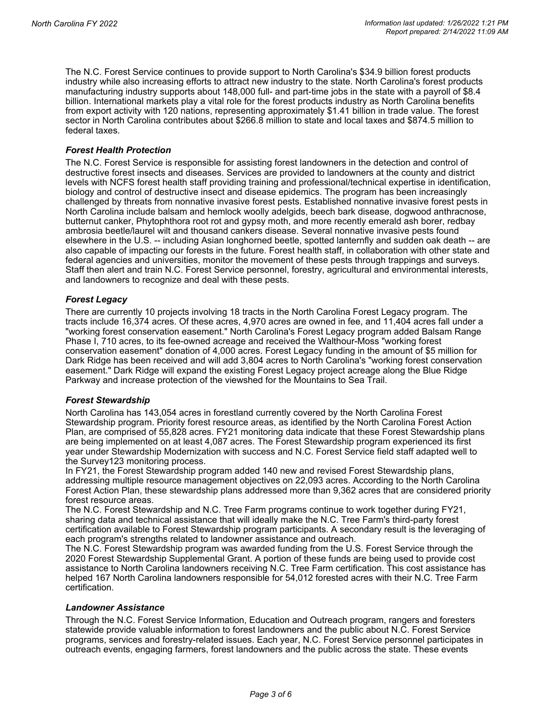The N.C. Forest Service continues to provide support to North Carolina's \$34.9 billion forest products industry while also increasing efforts to attract new industry to the state. North Carolina's forest products manufacturing industry supports about 148,000 full- and part-time jobs in the state with a payroll of \$8.4 billion. International markets play a vital role for the forest products industry as North Carolina benefits from export activity with 120 nations, representing approximately \$1.41 billion in trade value. The forest sector in North Carolina contributes about \$266.8 million to state and local taxes and \$874.5 million to federal taxes.

## *Forest Health Protection*

The N.C. Forest Service is responsible for assisting forest landowners in the detection and control of destructive forest insects and diseases. Services are provided to landowners at the county and district levels with NCFS forest health staff providing training and professional/technical expertise in identification, biology and control of destructive insect and disease epidemics. The program has been increasingly challenged by threats from nonnative invasive forest pests. Established nonnative invasive forest pests in North Carolina include balsam and hemlock woolly adelgids, beech bark disease, dogwood anthracnose, butternut canker, Phytophthora root rot and gypsy moth, and more recently emerald ash borer, redbay ambrosia beetle/laurel wilt and thousand cankers disease. Several nonnative invasive pests found elsewhere in the U.S. -- including Asian longhorned beetle, spotted lanternfly and sudden oak death -- are also capable of impacting our forests in the future. Forest health staff, in collaboration with other state and federal agencies and universities, monitor the movement of these pests through trappings and surveys. Staff then alert and train N.C. Forest Service personnel, forestry, agricultural and environmental interests, and landowners to recognize and deal with these pests.

## *Forest Legacy*

There are currently 10 projects involving 18 tracts in the North Carolina Forest Legacy program. The tracts include 16,374 acres. Of these acres, 4,970 acres are owned in fee, and 11,404 acres fall under a "working forest conservation easement." North Carolina's Forest Legacy program added Balsam Range Phase I, 710 acres, to its fee-owned acreage and received the Walthour-Moss "working forest conservation easement" donation of 4,000 acres. Forest Legacy funding in the amount of \$5 million for Dark Ridge has been received and will add 3,804 acres to North Carolina's "working forest conservation easement." Dark Ridge will expand the existing Forest Legacy project acreage along the Blue Ridge Parkway and increase protection of the viewshed for the Mountains to Sea Trail.

### *Forest Stewardship*

North Carolina has 143,054 acres in forestland currently covered by the North Carolina Forest Stewardship program. Priority forest resource areas, as identified by the North Carolina Forest Action Plan, are comprised of 55,828 acres. FY21 monitoring data indicate that these Forest Stewardship plans are being implemented on at least 4,087 acres. The Forest Stewardship program experienced its first year under Stewardship Modernization with success and N.C. Forest Service field staff adapted well to the Survey123 monitoring process.

In FY21, the Forest Stewardship program added 140 new and revised Forest Stewardship plans, addressing multiple resource management objectives on 22,093 acres. According to the North Carolina Forest Action Plan, these stewardship plans addressed more than 9,362 acres that are considered priority forest resource areas.

The N.C. Forest Stewardship and N.C. Tree Farm programs continue to work together during FY21, sharing data and technical assistance that will ideally make the N.C. Tree Farm's third-party forest certification available to Forest Stewardship program participants. A secondary result is the leveraging of each program's strengths related to landowner assistance and outreach.

The N.C. Forest Stewardship program was awarded funding from the U.S. Forest Service through the 2020 Forest Stewardship Supplemental Grant. A portion of these funds are being used to provide cost assistance to North Carolina landowners receiving N.C. Tree Farm certification. This cost assistance has helped 167 North Carolina landowners responsible for 54,012 forested acres with their N.C. Tree Farm certification.

### *Landowner Assistance*

Through the N.C. Forest Service Information, Education and Outreach program, rangers and foresters statewide provide valuable information to forest landowners and the public about N.C. Forest Service programs, services and forestry-related issues. Each year, N.C. Forest Service personnel participates in outreach events, engaging farmers, forest landowners and the public across the state. These events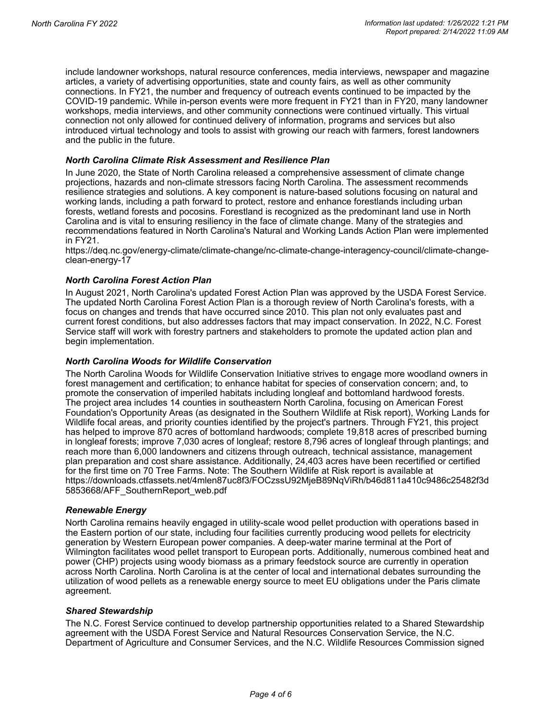include landowner workshops, natural resource conferences, media interviews, newspaper and magazine articles, a variety of advertising opportunities, state and county fairs, as well as other community connections. In FY21, the number and frequency of outreach events continued to be impacted by the COVID-19 pandemic. While in-person events were more frequent in FY21 than in FY20, many landowner workshops, media interviews, and other community connections were continued virtually. This virtual connection not only allowed for continued delivery of information, programs and services but also introduced virtual technology and tools to assist with growing our reach with farmers, forest landowners and the public in the future.

### *North Carolina Climate Risk Assessment and Resilience Plan*

In June 2020, the State of North Carolina released a comprehensive assessment of climate change projections, hazards and non-climate stressors facing North Carolina. The assessment recommends resilience strategies and solutions. A key component is nature-based solutions focusing on natural and working lands, including a path forward to protect, restore and enhance forestlands including urban forests, wetland forests and pocosins. Forestland is recognized as the predominant land use in North Carolina and is vital to ensuring resiliency in the face of climate change. Many of the strategies and recommendations featured in North Carolina's Natural and Working Lands Action Plan were implemented in FY21.

https://deq.nc.gov/energy-climate/climate-change/nc-climate-change-interagency-council/climate-changeclean-energy-17

#### *North Carolina Forest Action Plan*

In August 2021, North Carolina's updated Forest Action Plan was approved by the USDA Forest Service. The updated North Carolina Forest Action Plan is a thorough review of North Carolina's forests, with a focus on changes and trends that have occurred since 2010. This plan not only evaluates past and current forest conditions, but also addresses factors that may impact conservation. In 2022, N.C. Forest Service staff will work with forestry partners and stakeholders to promote the updated action plan and begin implementation.

#### *North Carolina Woods for Wildlife Conservation*

The North Carolina Woods for Wildlife Conservation Initiative strives to engage more woodland owners in forest management and certification; to enhance habitat for species of conservation concern; and, to promote the conservation of imperiled habitats including longleaf and bottomland hardwood forests. The project area includes 14 counties in southeastern North Carolina, focusing on American Forest Foundation's Opportunity Areas (as designated in the Southern Wildlife at Risk report), Working Lands for Wildlife focal areas, and priority counties identified by the project's partners. Through FY21, this project has helped to improve 870 acres of bottomland hardwoods; complete 19,818 acres of prescribed burning in longleaf forests; improve 7,030 acres of longleaf; restore 8,796 acres of longleaf through plantings; and reach more than 6,000 landowners and citizens through outreach, technical assistance, management plan preparation and cost share assistance. Additionally, 24,403 acres have been recertified or certified for the first time on 70 Tree Farms. Note: The Southern Wildlife at Risk report is available at https://downloads.ctfassets.net/4mlen87uc8f3/FOCzssU92MjeB89NqViRh/b46d811a410c9486c25482f3d 5853668/AFF\_SouthernReport\_web.pdf

#### *Renewable Energy*

North Carolina remains heavily engaged in utility-scale wood pellet production with operations based in the Eastern portion of our state, including four facilities currently producing wood pellets for electricity generation by Western European power companies. A deep-water marine terminal at the Port of Wilmington facilitates wood pellet transport to European ports. Additionally, numerous combined heat and power (CHP) projects using woody biomass as a primary feedstock source are currently in operation across North Carolina. North Carolina is at the center of local and international debates surrounding the utilization of wood pellets as a renewable energy source to meet EU obligations under the Paris climate agreement.

#### *Shared Stewardship*

The N.C. Forest Service continued to develop partnership opportunities related to a Shared Stewardship agreement with the USDA Forest Service and Natural Resources Conservation Service, the N.C. Department of Agriculture and Consumer Services, and the N.C. Wildlife Resources Commission signed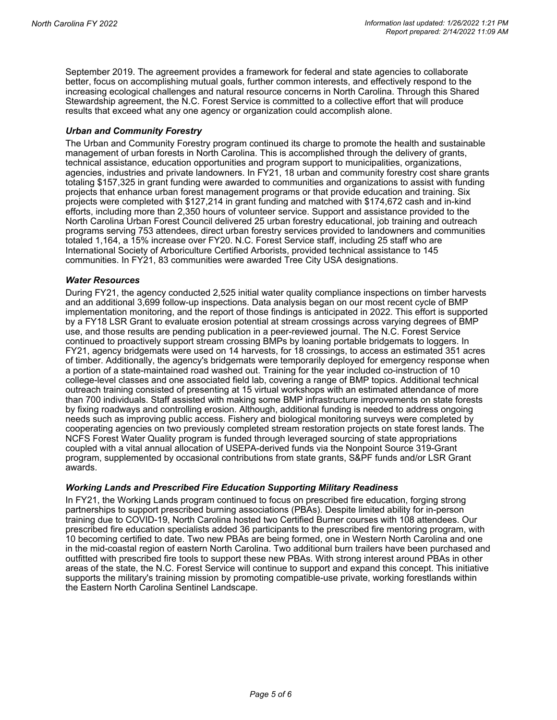September 2019. The agreement provides a framework for federal and state agencies to collaborate better, focus on accomplishing mutual goals, further common interests, and effectively respond to the increasing ecological challenges and natural resource concerns in North Carolina. Through this Shared Stewardship agreement, the N.C. Forest Service is committed to a collective effort that will produce results that exceed what any one agency or organization could accomplish alone.

### *Urban and Community Forestry*

The Urban and Community Forestry program continued its charge to promote the health and sustainable management of urban forests in North Carolina. This is accomplished through the delivery of grants, technical assistance, education opportunities and program support to municipalities, organizations, agencies, industries and private landowners. In FY21, 18 urban and community forestry cost share grants totaling \$157,325 in grant funding were awarded to communities and organizations to assist with funding projects that enhance urban forest management programs or that provide education and training. Six projects were completed with \$127,214 in grant funding and matched with \$174,672 cash and in-kind efforts, including more than 2,350 hours of volunteer service. Support and assistance provided to the North Carolina Urban Forest Council delivered 25 urban forestry educational, job training and outreach programs serving 753 attendees, direct urban forestry services provided to landowners and communities totaled 1,164, a 15% increase over FY20. N.C. Forest Service staff, including 25 staff who are International Society of Arboriculture Certified Arborists, provided technical assistance to 145 communities. In FY21, 83 communities were awarded Tree City USA designations.

#### *Water Resources*

During FY21, the agency conducted 2,525 initial water quality compliance inspections on timber harvests and an additional 3,699 follow-up inspections. Data analysis began on our most recent cycle of BMP implementation monitoring, and the report of those findings is anticipated in 2022. This effort is supported by a FY18 LSR Grant to evaluate erosion potential at stream crossings across varying degrees of BMP use, and those results are pending publication in a peer-reviewed journal. The N.C. Forest Service continued to proactively support stream crossing BMPs by loaning portable bridgemats to loggers. In FY21, agency bridgemats were used on 14 harvests, for 18 crossings, to access an estimated 351 acres of timber. Additionally, the agency's bridgemats were temporarily deployed for emergency response when a portion of a state-maintained road washed out. Training for the year included co-instruction of 10 college-level classes and one associated field lab, covering a range of BMP topics. Additional technical outreach training consisted of presenting at 15 virtual workshops with an estimated attendance of more than 700 individuals. Staff assisted with making some BMP infrastructure improvements on state forests by fixing roadways and controlling erosion. Although, additional funding is needed to address ongoing needs such as improving public access. Fishery and biological monitoring surveys were completed by cooperating agencies on two previously completed stream restoration projects on state forest lands. The NCFS Forest Water Quality program is funded through leveraged sourcing of state appropriations coupled with a vital annual allocation of USEPA-derived funds via the Nonpoint Source 319-Grant program, supplemented by occasional contributions from state grants, S&PF funds and/or LSR Grant awards.

### *Working Lands and Prescribed Fire Education Supporting Military Readiness*

In FY21, the Working Lands program continued to focus on prescribed fire education, forging strong partnerships to support prescribed burning associations (PBAs). Despite limited ability for in-person training due to COVID-19, North Carolina hosted two Certified Burner courses with 108 attendees. Our prescribed fire education specialists added 36 participants to the prescribed fire mentoring program, with 10 becoming certified to date. Two new PBAs are being formed, one in Western North Carolina and one in the mid-coastal region of eastern North Carolina. Two additional burn trailers have been purchased and outfitted with prescribed fire tools to support these new PBAs. With strong interest around PBAs in other areas of the state, the N.C. Forest Service will continue to support and expand this concept. This initiative supports the military's training mission by promoting compatible-use private, working forestlands within the Eastern North Carolina Sentinel Landscape.